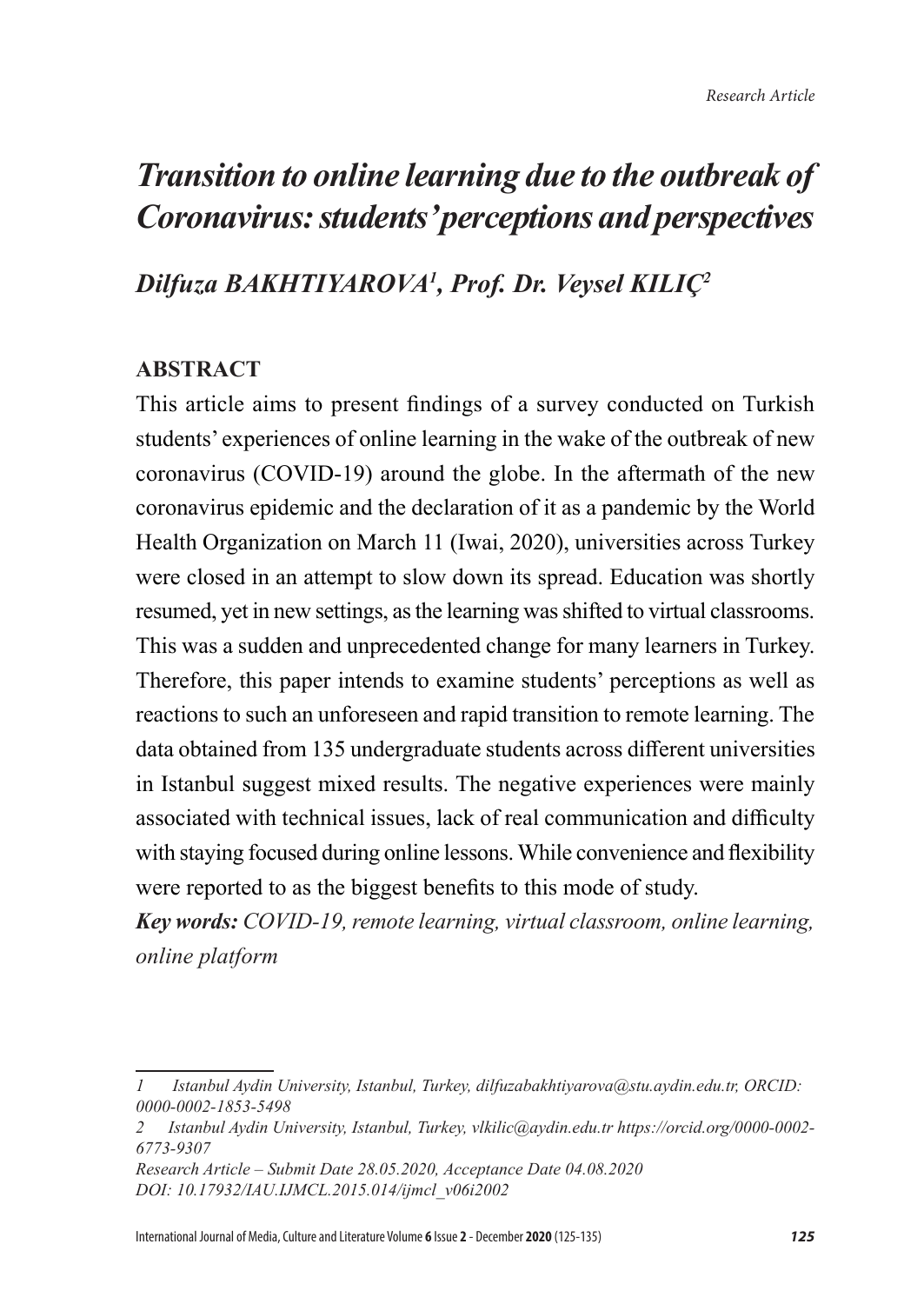## *Dilfuza BAKHTIYAROVA<sup>1</sup> , Prof. Dr. Veysel KILIÇ<sup>2</sup>*

### **ABSTRACT**

This article aims to present findings of a survey conducted on Turkish students' experiences of online learning in the wake of the outbreak of new coronavirus (COVID-19) around the globe. In the aftermath of the new coronavirus epidemic and the declaration of it as a pandemic by the World Health Organization on March 11 (Iwai, 2020), universities across Turkey were closed in an attempt to slow down its spread. Education was shortly resumed, yet in new settings, as the learning was shifted to virtual classrooms. This was a sudden and unprecedented change for many learners in Turkey. Therefore, this paper intends to examine students' perceptions as well as reactions to such an unforeseen and rapid transition to remote learning. The data obtained from 135 undergraduate students across different universities in Istanbul suggest mixed results. The negative experiences were mainly associated with technical issues, lack of real communication and difficulty with staying focused during online lessons. While convenience and flexibility were reported to as the biggest benefits to this mode of study.

*Key words: COVID-19, remote learning, virtual classroom, online learning, online platform*

*<sup>1</sup> Istanbul Aydin University, Istanbul, Turkey, dilfuzabakhtiyarova@stu.aydin.edu.tr, ORCID: 0000-0002-1853-5498*

*<sup>2</sup> Istanbul Aydin University, Istanbul, Turkey, vlkilic@aydin.edu.tr https://orcid.org/0000-0002- 6773-9307*

*Research Article – Submit Date 28.05.2020, Acceptance Date 04.08.2020 DOI: 10.17932/IAU.IJMCL.2015.014/ijmcl\_v06i2002*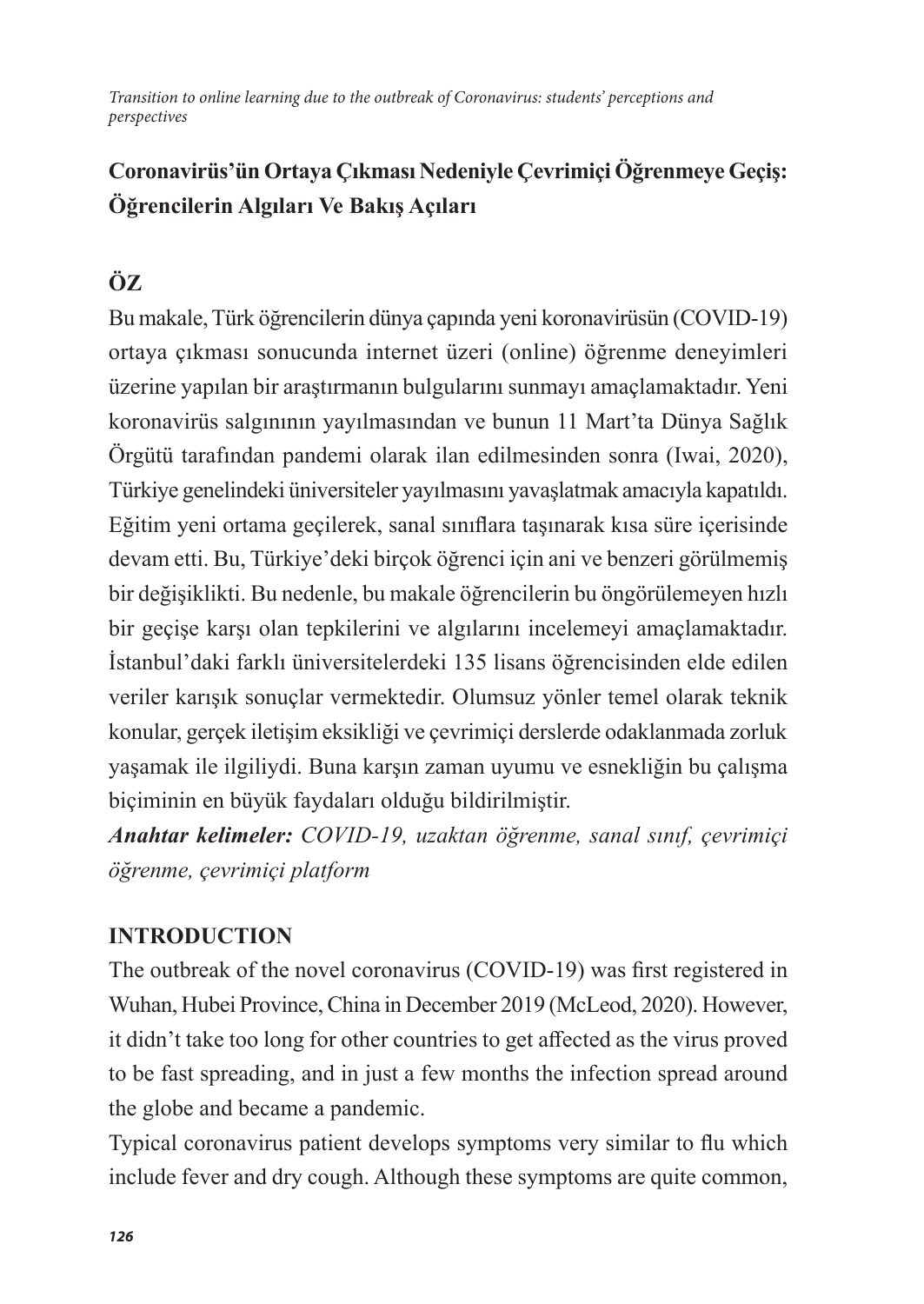## **Coronavirüs'ün Ortaya Çıkması Nedeniyle Çevrimiçi Öğrenmeye Geçiş: Öğrencilerin Algıları Ve Bakış Açıları**

## **ÖZ**

Bu makale, Türk öğrencilerin dünya çapında yeni koronavirüsün (COVID-19) ortaya çıkması sonucunda internet üzeri (online) öğrenme deneyimleri üzerine yapılan bir araştırmanın bulgularını sunmayı amaçlamaktadır. Yeni koronavirüs salgınının yayılmasından ve bunun 11 Mart'ta Dünya Sağlık Örgütü tarafından pandemi olarak ilan edilmesinden sonra (Iwai, 2020), Türkiye genelindeki üniversiteler yayılmasını yavaşlatmak amacıyla kapatıldı. Eğitim yeni ortama geçilerek, sanal sınıflara taşınarak kısa süre içerisinde devam etti. Bu, Türkiye'deki birçok öğrenci için ani ve benzeri görülmemiş bir değişiklikti. Bu nedenle, bu makale öğrencilerin bu öngörülemeyen hızlı bir geçişe karşı olan tepkilerini ve algılarını incelemeyi amaçlamaktadır. İstanbul'daki farklı üniversitelerdeki 135 lisans öğrencisinden elde edilen veriler karışık sonuçlar vermektedir. Olumsuz yönler temel olarak teknik konular, gerçek iletişim eksikliği ve çevrimiçi derslerde odaklanmada zorluk yaşamak ile ilgiliydi. Buna karşın zaman uyumu ve esnekliğin bu çalışma biçiminin en büyük faydaları olduğu bildirilmiştir.

*Anahtar kelimeler: COVID-19, uzaktan öğrenme, sanal sınıf, çevrimiçi öğrenme, çevrimiçi platform*

## **INTRODUCTION**

The outbreak of the novel coronavirus (COVID-19) was first registered in Wuhan, Hubei Province, China in December 2019 (McLeod, 2020). However, it didn't take too long for other countries to get affected as the virus proved to be fast spreading, and in just a few months the infection spread around the globe and became a pandemic.

Typical coronavirus patient develops symptoms very similar to flu which include fever and dry cough. Although these symptoms are quite common,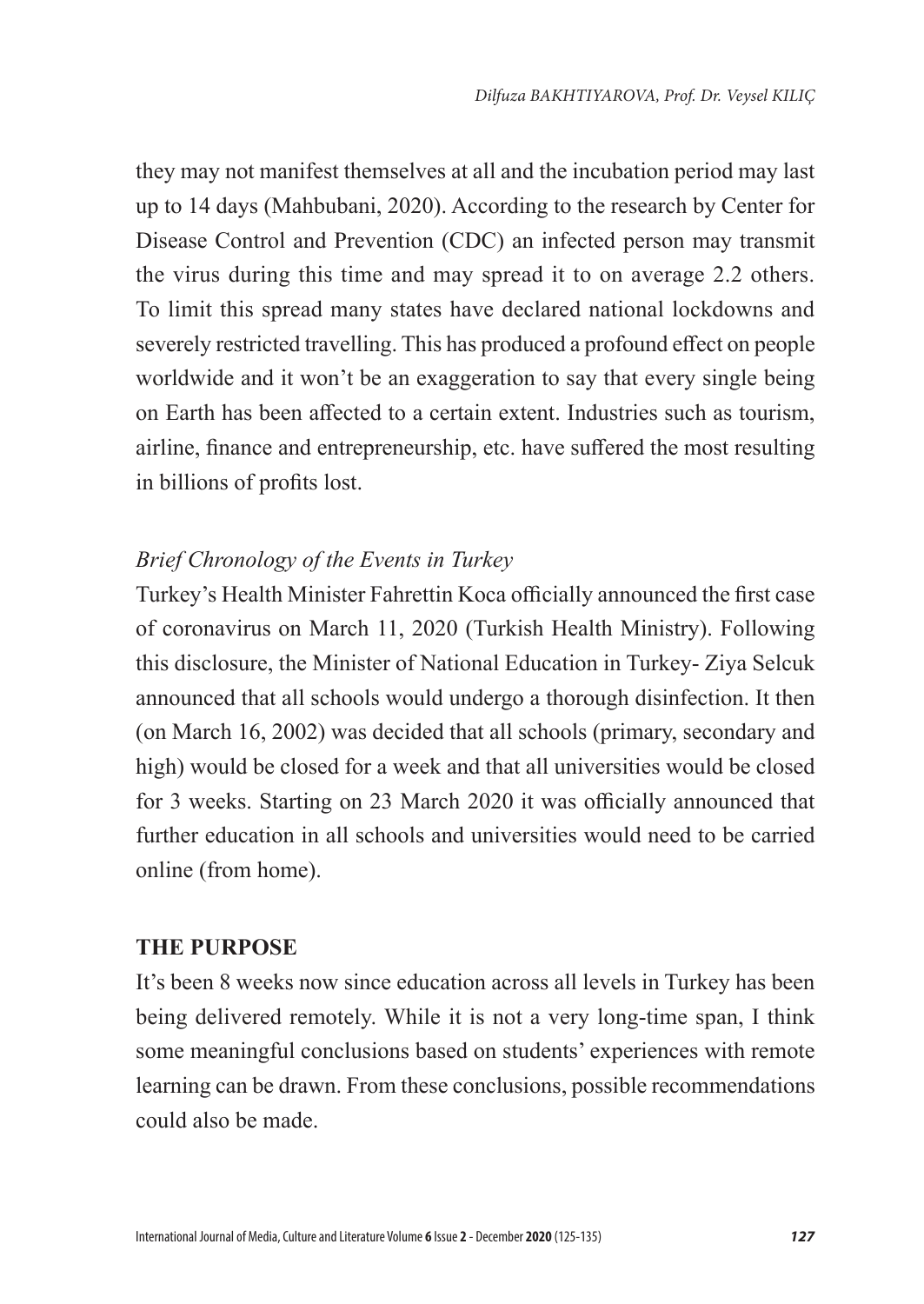they may not manifest themselves at all and the incubation period may last up to 14 days (Mahbubani, 2020). According to the research by Center for Disease Control and Prevention (CDC) an infected person may transmit the virus during this time and may spread it to on average 2.2 others. To limit this spread many states have declared national lockdowns and severely restricted travelling. This has produced a profound effect on people worldwide and it won't be an exaggeration to say that every single being on Earth has been affected to a certain extent. Industries such as tourism, airline, finance and entrepreneurship, etc. have suffered the most resulting in billions of profits lost.

#### *Brief Chronology of the Events in Turkey*

Turkey's Health Minister Fahrettin Koca officially announced the first case of coronavirus on March 11, 2020 (Turkish Health Ministry). Following this disclosure, the Minister of National Education in Turkey- Ziya Selcuk announced that all schools would undergo a thorough disinfection. It then (on March 16, 2002) was decided that all schools (primary, secondary and high) would be closed for a week and that all universities would be closed for 3 weeks. Starting on 23 March 2020 it was officially announced that further education in all schools and universities would need to be carried online (from home).

#### **THE PURPOSE**

It's been 8 weeks now since education across all levels in Turkey has been being delivered remotely. While it is not a very long-time span, I think some meaningful conclusions based on students' experiences with remote learning can be drawn. From these conclusions, possible recommendations could also be made.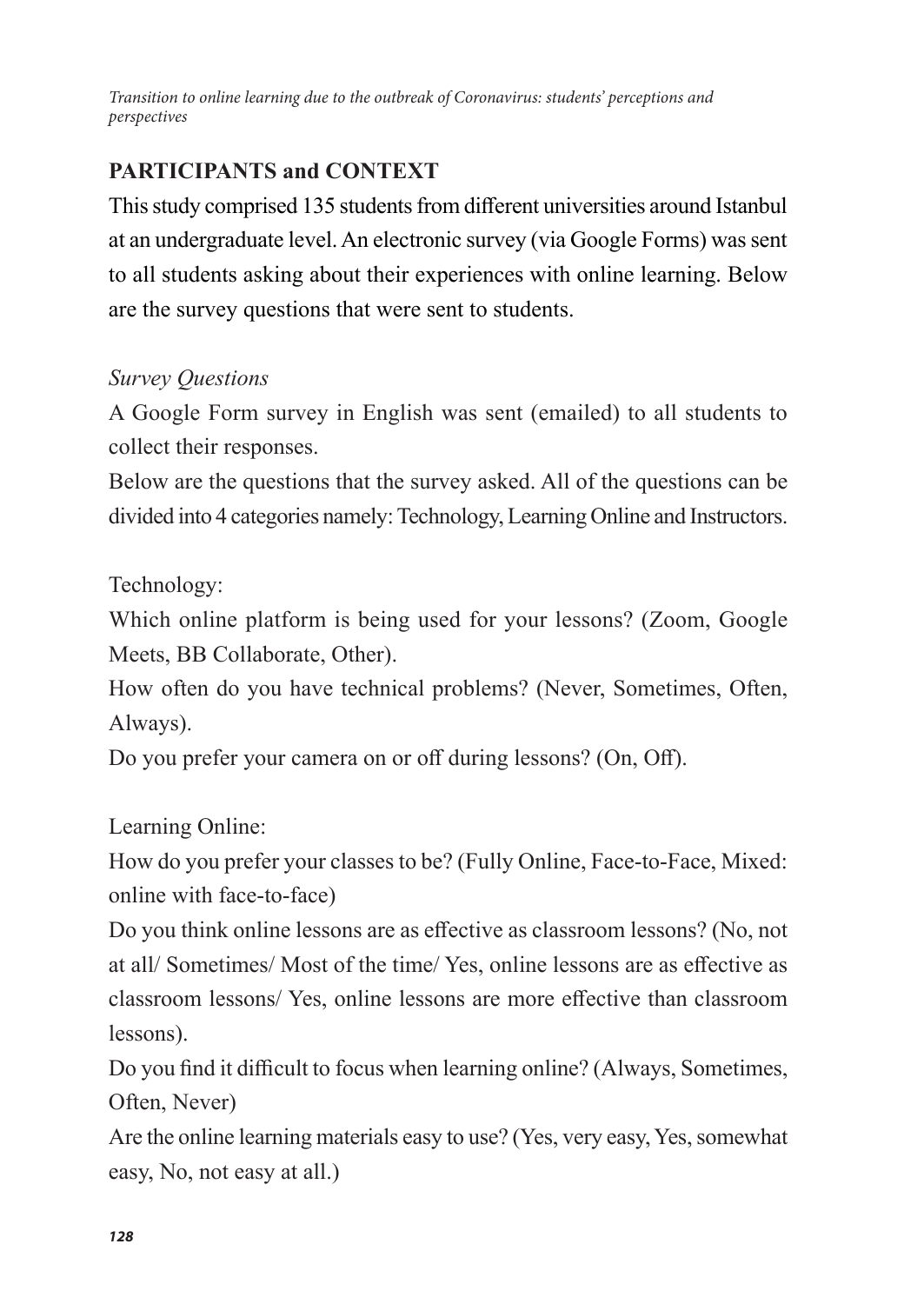## **PARTICIPANTS and CONTEXT**

This study comprised 135 students from different universities around Istanbul at an undergraduate level. An electronic survey (via Google Forms) was sent to all students asking about their experiences with online learning. Below are the survey questions that were sent to students.

### *Survey Questions*

A Google Form survey in English was sent (emailed) to all students to collect their responses.

Below are the questions that the survey asked. All of the questions can be divided into 4 categories namely: Technology, Learning Online and Instructors.

Technology:

Which online platform is being used for your lessons? (Zoom, Google Meets, BB Collaborate, Other).

How often do you have technical problems? (Never, Sometimes, Often, Always).

Do you prefer your camera on or off during lessons? (On, Off).

Learning Online:

How do you prefer your classes to be? (Fully Online, Face-to-Face, Mixed: online with face-to-face)

Do you think online lessons are as effective as classroom lessons? (No, not at all/ Sometimes/ Most of the time/ Yes, online lessons are as effective as classroom lessons/ Yes, online lessons are more effective than classroom lessons).

Do you find it difficult to focus when learning online? (Always, Sometimes, Often, Never)

Are the online learning materials easy to use? (Yes, very easy, Yes, somewhat easy, No, not easy at all.)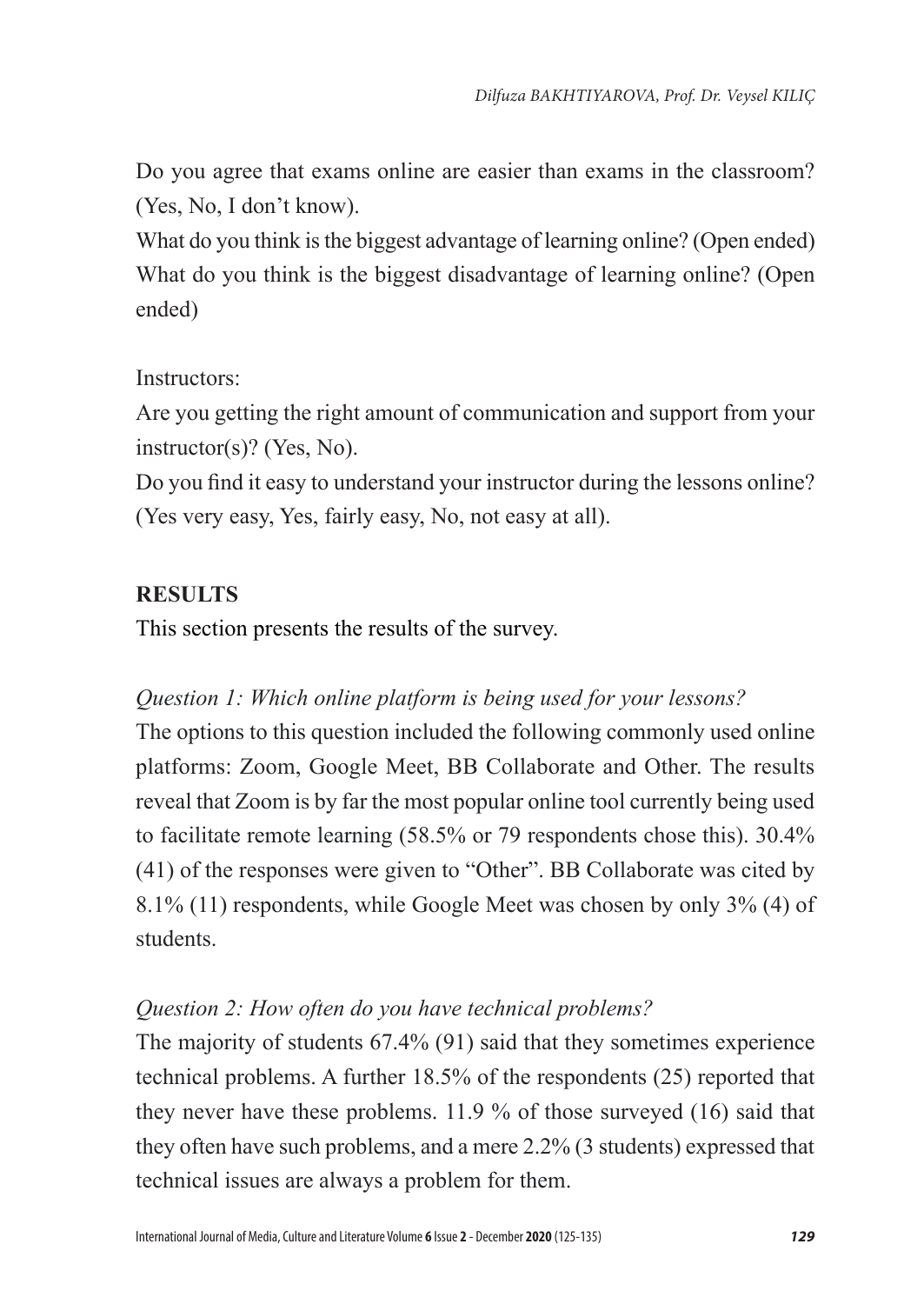Do you agree that exams online are easier than exams in the classroom? (Yes, No, I don't know).

What do you think is the biggest advantage of learning online? (Open ended) What do you think is the biggest disadvantage of learning online? (Open ended)

### Instructors:

Are you getting the right amount of communication and support from your instructor(s)? (Yes, No).

Do you find it easy to understand your instructor during the lessons online? (Yes very easy, Yes, fairly easy, No, not easy at all).

## **RESULTS**

This section presents the results of the survey.

## *Question 1: Which online platform is being used for your lessons?*

The options to this question included the following commonly used online platforms: Zoom, Google Meet, BB Collaborate and Other. The results reveal that Zoom is by far the most popular online tool currently being used to facilitate remote learning (58.5% or 79 respondents chose this). 30.4% (41) of the responses were given to "Other". BB Collaborate was cited by 8.1% (11) respondents, while Google Meet was chosen by only 3% (4) of students.

## *Question 2: How often do you have technical problems?*

The majority of students 67.4% (91) said that they sometimes experience technical problems. A further 18.5% of the respondents (25) reported that they never have these problems. 11.9 % of those surveyed (16) said that they often have such problems, and a mere 2.2% (3 students) expressed that technical issues are always a problem for them.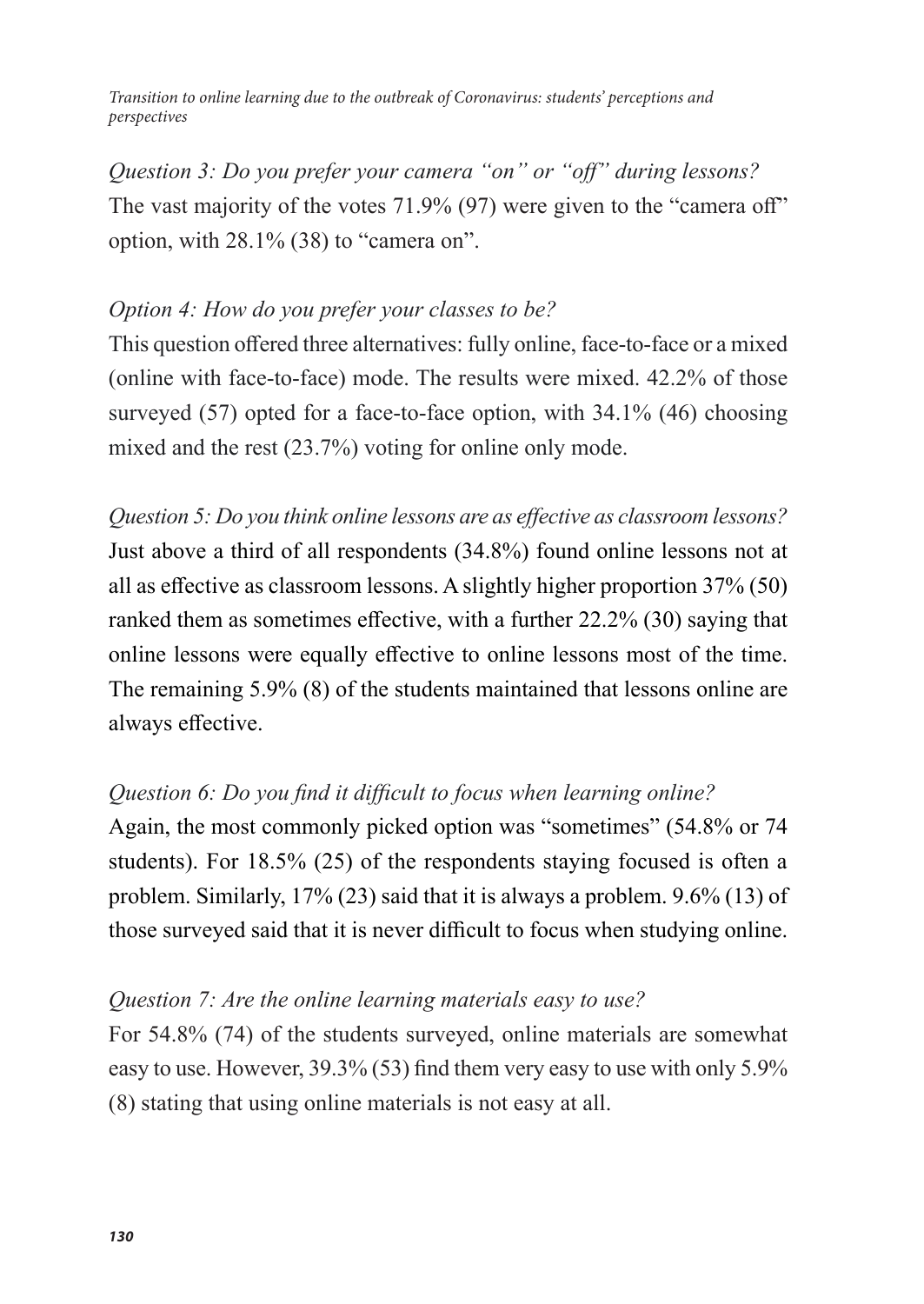*Question 3: Do you prefer your camera "on" or "off" during lessons?* The vast majority of the votes 71.9% (97) were given to the "camera off" option, with 28.1% (38) to "camera on".

#### *Option 4: How do you prefer your classes to be?*

This question offered three alternatives: fully online, face-to-face or a mixed (online with face-to-face) mode. The results were mixed. 42.2% of those surveyed (57) opted for a face-to-face option, with 34.1% (46) choosing mixed and the rest (23.7%) voting for online only mode.

*Question 5: Do you think online lessons are as effective as classroom lessons?* Just above a third of all respondents (34.8%) found online lessons not at all as effective as classroom lessons. A slightly higher proportion 37% (50) ranked them as sometimes effective, with a further 22.2% (30) saying that online lessons were equally effective to online lessons most of the time. The remaining 5.9% (8) of the students maintained that lessons online are always effective.

#### *Question 6: Do you find it difficult to focus when learning online?*

Again, the most commonly picked option was "sometimes" (54.8% or 74 students). For 18.5% (25) of the respondents staying focused is often a problem. Similarly, 17% (23) said that it is always a problem. 9.6% (13) of those surveyed said that it is never difficult to focus when studying online.

#### *Question 7: Are the online learning materials easy to use?*

For 54.8% (74) of the students surveyed, online materials are somewhat easy to use. However, 39.3% (53) find them very easy to use with only 5.9% (8) stating that using online materials is not easy at all.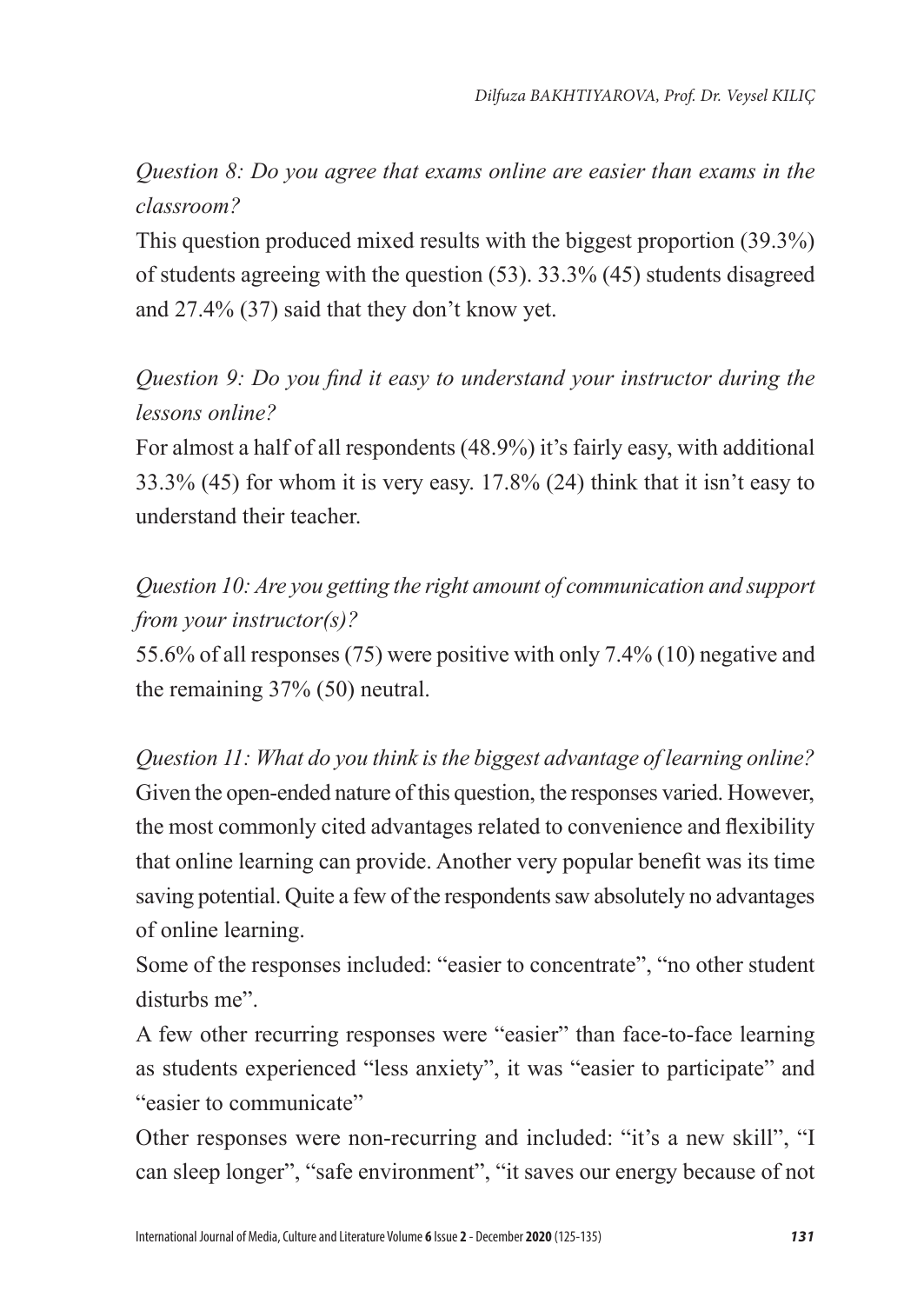*Question 8: Do you agree that exams online are easier than exams in the classroom?*

This question produced mixed results with the biggest proportion (39.3%) of students agreeing with the question (53). 33.3% (45) students disagreed and 27.4% (37) said that they don't know yet.

*Question 9: Do you find it easy to understand your instructor during the lessons online?*

For almost a half of all respondents (48.9%) it's fairly easy, with additional 33.3% (45) for whom it is very easy. 17.8% (24) think that it isn't easy to understand their teacher.

*Question 10: Are you getting the right amount of communication and support from your instructor(s)?*

55.6% of all responses (75) were positive with only 7.4% (10) negative and the remaining 37% (50) neutral.

*Question 11: What do you think is the biggest advantage of learning online?* Given the open-ended nature of this question, the responses varied. However, the most commonly cited advantages related to convenience and flexibility that online learning can provide. Another very popular benefit was its time saving potential. Quite a few of the respondents saw absolutely no advantages of online learning.

Some of the responses included: "easier to concentrate", "no other student disturbs me".

A few other recurring responses were "easier" than face-to-face learning as students experienced "less anxiety", it was "easier to participate" and "easier to communicate"

Other responses were non-recurring and included: "it's a new skill", "I can sleep longer", "safe environment", "it saves our energy because of not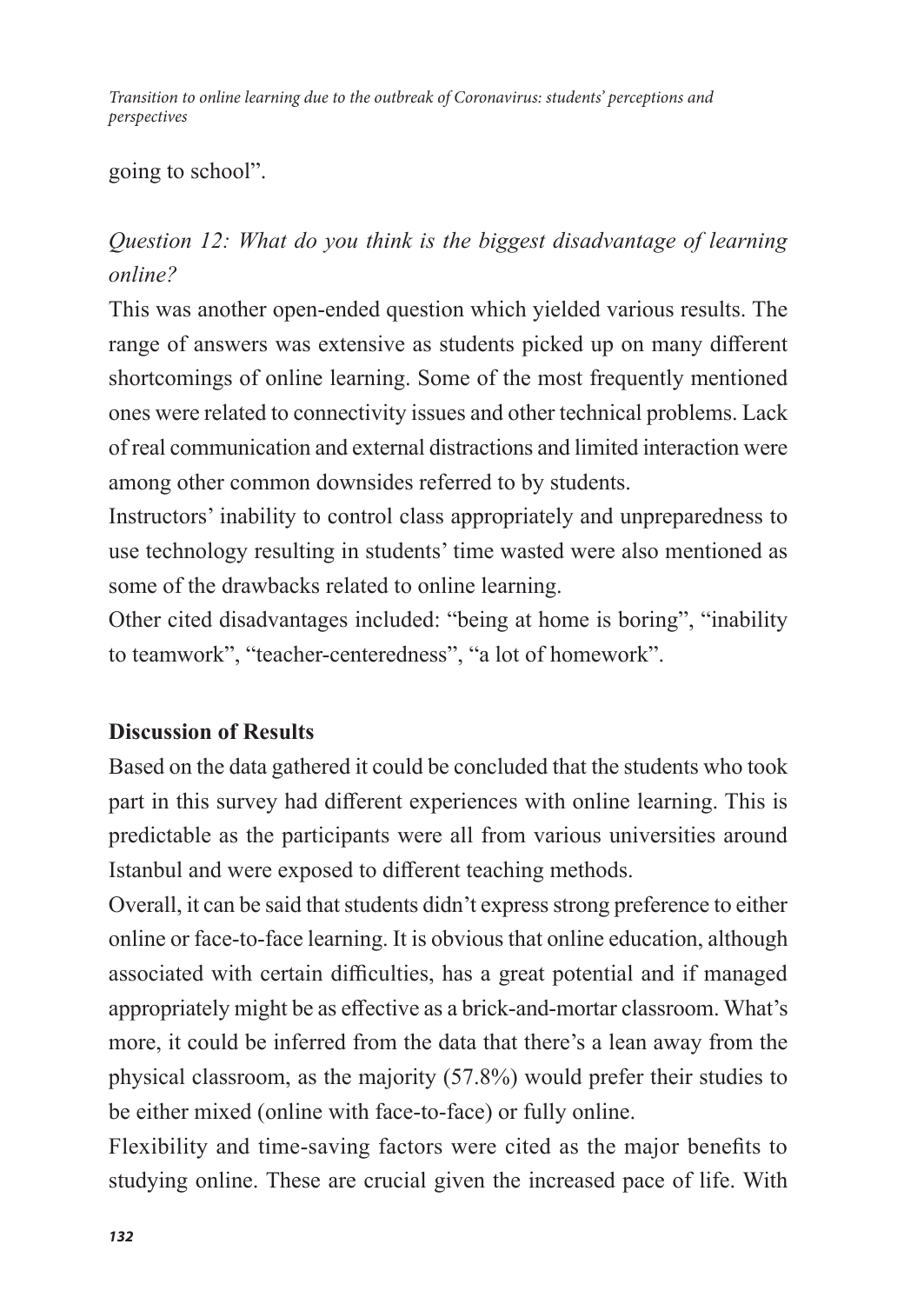going to school".

## *Question 12: What do you think is the biggest disadvantage of learning online?*

This was another open-ended question which yielded various results. The range of answers was extensive as students picked up on many different shortcomings of online learning. Some of the most frequently mentioned ones were related to connectivity issues and other technical problems. Lack of real communication and external distractions and limited interaction were among other common downsides referred to by students.

Instructors' inability to control class appropriately and unpreparedness to use technology resulting in students' time wasted were also mentioned as some of the drawbacks related to online learning.

Other cited disadvantages included: "being at home is boring", "inability to teamwork", "teacher-centeredness", "a lot of homework".

#### **Discussion of Results**

Based on the data gathered it could be concluded that the students who took part in this survey had different experiences with online learning. This is predictable as the participants were all from various universities around Istanbul and were exposed to different teaching methods.

Overall, it can be said that students didn't express strong preference to either online or face-to-face learning. It is obvious that online education, although associated with certain difficulties, has a great potential and if managed appropriately might be as effective as a brick-and-mortar classroom. What's more, it could be inferred from the data that there's a lean away from the physical classroom, as the majority (57.8%) would prefer their studies to be either mixed (online with face-to-face) or fully online.

Flexibility and time-saving factors were cited as the major benefits to studying online. These are crucial given the increased pace of life. With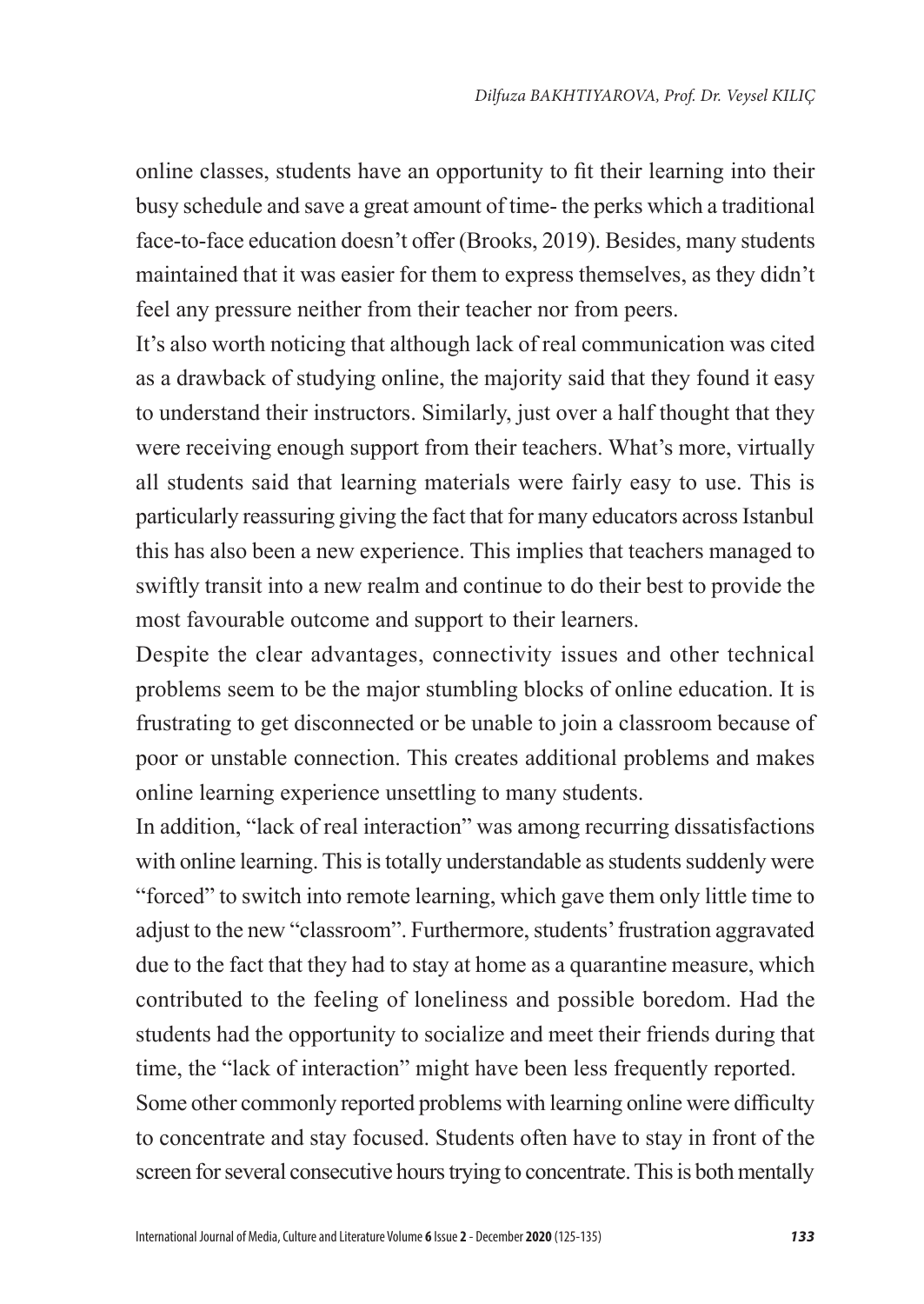online classes, students have an opportunity to fit their learning into their busy schedule and save a great amount of time- the perks which a traditional face-to-face education doesn't offer (Brooks, 2019). Besides, many students maintained that it was easier for them to express themselves, as they didn't feel any pressure neither from their teacher nor from peers.

It's also worth noticing that although lack of real communication was cited as a drawback of studying online, the majority said that they found it easy to understand their instructors. Similarly, just over a half thought that they were receiving enough support from their teachers. What's more, virtually all students said that learning materials were fairly easy to use. This is particularly reassuring giving the fact that for many educators across Istanbul this has also been a new experience. This implies that teachers managed to swiftly transit into a new realm and continue to do their best to provide the most favourable outcome and support to their learners.

Despite the clear advantages, connectivity issues and other technical problems seem to be the major stumbling blocks of online education. It is frustrating to get disconnected or be unable to join a classroom because of poor or unstable connection. This creates additional problems and makes online learning experience unsettling to many students.

In addition, "lack of real interaction" was among recurring dissatisfactions with online learning. This is totally understandable as students suddenly were "forced" to switch into remote learning, which gave them only little time to adjust to the new "classroom". Furthermore, students' frustration aggravated due to the fact that they had to stay at home as a quarantine measure, which contributed to the feeling of loneliness and possible boredom. Had the students had the opportunity to socialize and meet their friends during that time, the "lack of interaction" might have been less frequently reported.

Some other commonly reported problems with learning online were difficulty to concentrate and stay focused. Students often have to stay in front of the screen for several consecutive hours trying to concentrate. This is both mentally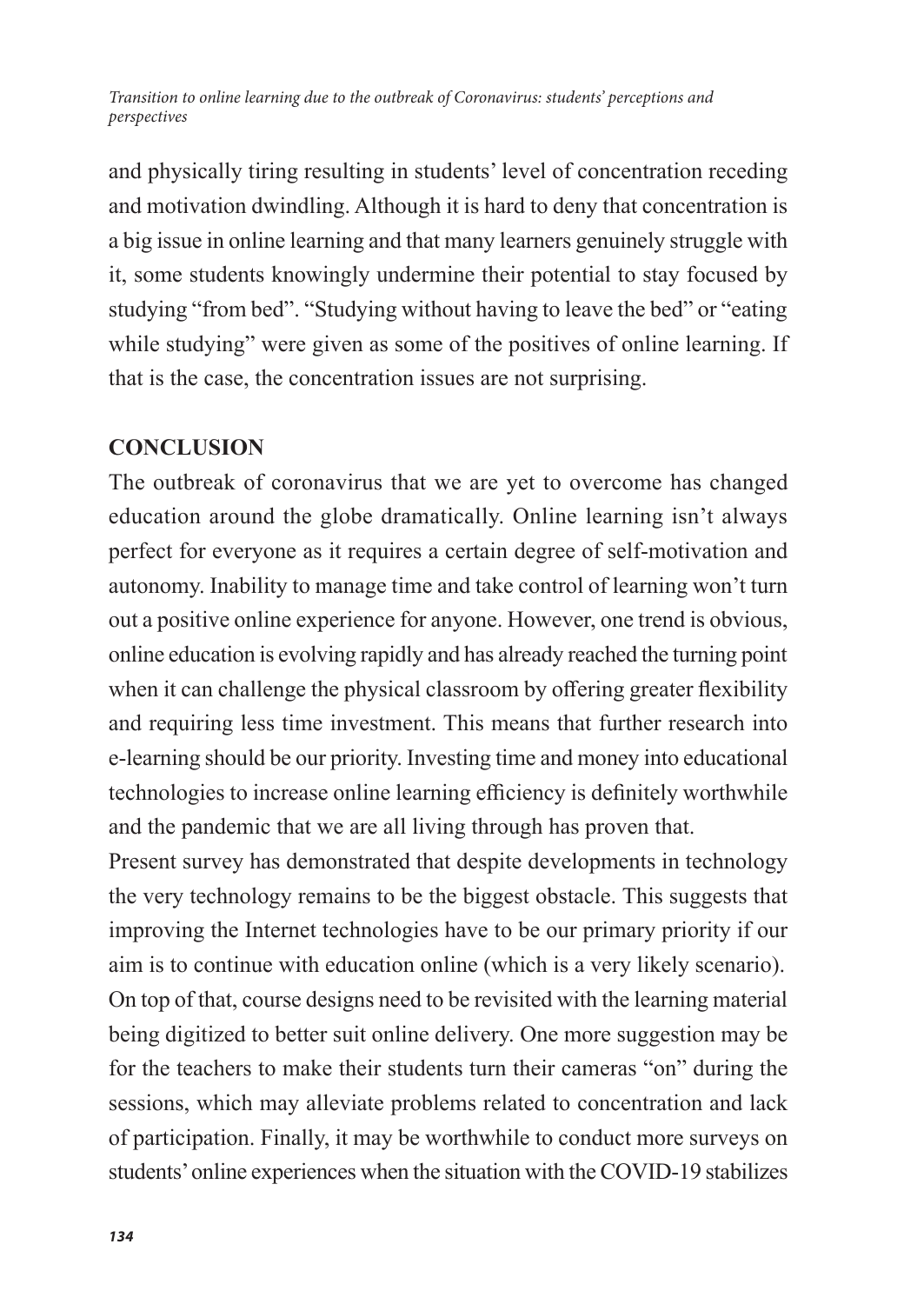and physically tiring resulting in students' level of concentration receding and motivation dwindling. Although it is hard to deny that concentration is a big issue in online learning and that many learners genuinely struggle with it, some students knowingly undermine their potential to stay focused by studying "from bed". "Studying without having to leave the bed" or "eating while studying" were given as some of the positives of online learning. If that is the case, the concentration issues are not surprising.

#### **CONCLUSION**

The outbreak of coronavirus that we are yet to overcome has changed education around the globe dramatically. Online learning isn't always perfect for everyone as it requires a certain degree of self-motivation and autonomy. Inability to manage time and take control of learning won't turn out a positive online experience for anyone. However, one trend is obvious, online education is evolving rapidly and has already reached the turning point when it can challenge the physical classroom by offering greater flexibility and requiring less time investment. This means that further research into e-learning should be our priority. Investing time and money into educational technologies to increase online learning efficiency is definitely worthwhile and the pandemic that we are all living through has proven that.

Present survey has demonstrated that despite developments in technology the very technology remains to be the biggest obstacle. This suggests that improving the Internet technologies have to be our primary priority if our aim is to continue with education online (which is a very likely scenario). On top of that, course designs need to be revisited with the learning material being digitized to better suit online delivery. One more suggestion may be for the teachers to make their students turn their cameras "on" during the sessions, which may alleviate problems related to concentration and lack of participation. Finally, it may be worthwhile to conduct more surveys on students' online experiences when the situation with the COVID-19 stabilizes